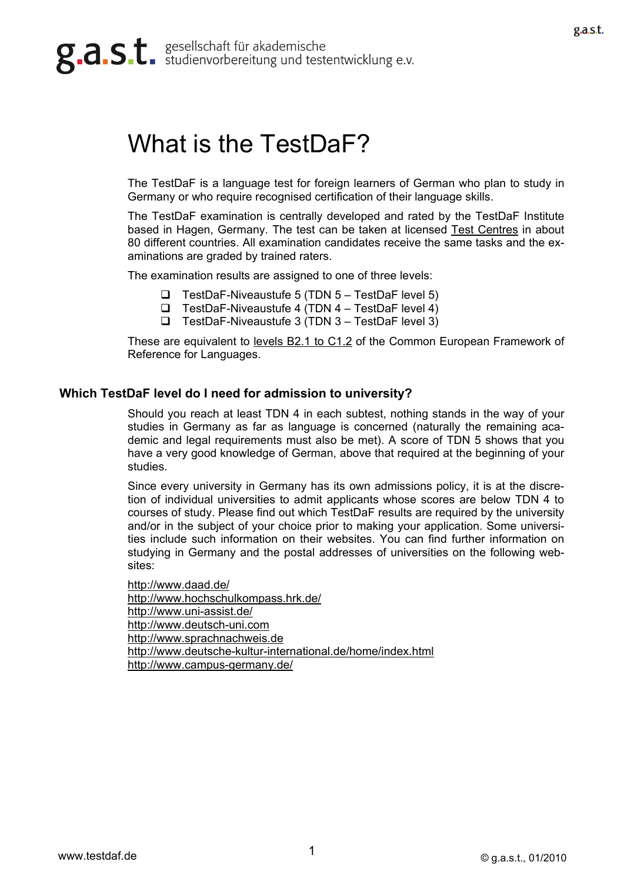# g.a.s.t. studienvorbereitung und testentwicklung e.v.

# What is the TestDaF?

The TestDaF is a language test for foreign learners of German who plan to study in Germany or who require recognised certification of their language skills.

The TestDaF examination is centrally developed and rated by the TestDaF Institute based in Hagen, Germany. The test can be taken at licensed [Test Centres](http://www.testdaf.de/teilnehmer/tn-pruefung_testzentren.php) in about 80 different countries. All examination candidates receive the same tasks and the examinations are graded by trained raters.

The examination results are assigned to one of three levels:

- $\Box$  TestDaF-Niveaustufe 5 (TDN 5 TestDaF level 5)
- $\Box$  TestDaF-Niveaustufe 4 (TDN 4 TestDaF level 4)
- $\Box$  TestDaF-Niveaustufe 3 (TDN 3 TestDaF level 3)

These are equivalent to [levels B2.1 to C1.2](http://www.testdaf.de/teilnehmer/tn-info_nivea_stufen.php) of the Common European Framework of Reference for Languages.

## **Which TestDaF level do I need for admission to university?**

Should you reach at least TDN 4 in each subtest, nothing stands in the way of your studies in Germany as far as language is concerned (naturally the remaining academic and legal requirements must also be met). A score of TDN 5 shows that you have a very good knowledge of German, above that required at the beginning of your studies.

Since every university in Germany has its own admissions policy, it is at the discretion of individual universities to admit applicants whose scores are below TDN 4 to courses of study. Please find out which TestDaF results are required by the university and/or in the subject of your choice prior to making your application. Some universities include such information on their websites. You can find further information on studying in Germany and the postal addresses of universities on the following websites:

<http://www.daad.de/> <http://www.hochschulkompass.hrk.de/> <http://www.uni-assist.de/> [http://www.deutsch-uni.com](http://www.deutsch-uni.com/) [http://www.sprachnachweis.de](http://www.sprachnachweis.de/) <http://www.deutsche-kultur-international.de/home/index.html> <http://www.campus-germany.de/>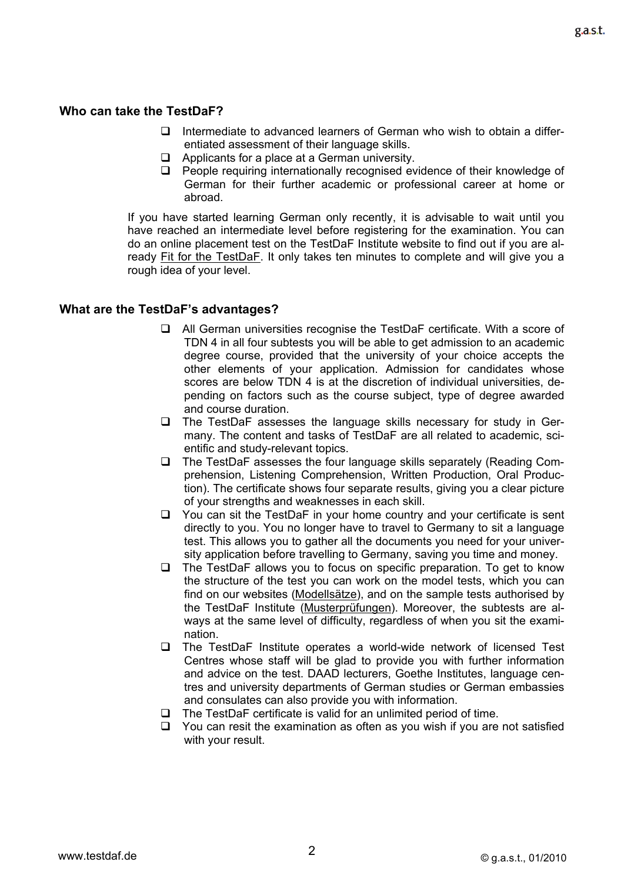# **Who can take the TestDaF?**

- $\Box$  Intermediate to advanced learners of German who wish to obtain a differentiated assessment of their language skills.
- $\Box$  Applicants for a place at a German university.
- $\Box$  People requiring internationally recognised evidence of their knowledge of German for their further academic or professional career at home or abroad.

If you have started learning German only recently, it is advisable to wait until you have reached an intermediate level before registering for the examination. You can do an online placement test on the TestDaF Institute website to find out if you are already [Fit for the TestDaF](http://www.testdaf.de/teilnehmer/tn-vorbereitung_test.php?id=1). It only takes ten minutes to complete and will give you a rough idea of your level.

## **What are the TestDaF's advantages?**

- All German universities recognise the TestDaF certificate. With a score of TDN 4 in all four subtests you will be able to get admission to an academic degree course, provided that the university of your choice accepts the other elements of your application. Admission for candidates whose scores are below TDN 4 is at the discretion of individual universities, depending on factors such as the course subject, type of degree awarded and course duration.
- $\Box$  The TestDaF assesses the language skills necessary for study in Germany. The content and tasks of TestDaF are all related to academic, scientific and study-relevant topics.
- □ The TestDaF assesses the four language skills separately (Reading Comprehension, Listening Comprehension, Written Production, Oral Production). The certificate shows four separate results, giving you a clear picture of your strengths and weaknesses in each skill.
- $\Box$  You can sit the TestDaF in your home country and your certificate is sent directly to you. You no longer have to travel to Germany to sit a language test. This allows you to gather all the documents you need for your university application before travelling to Germany, saving you time and money.
- $\Box$  The TestDaF allows you to focus on specific preparation. To get to know the structure of the test you can work on the model tests, which you can find on our websites ([Modellsätze\)](http://www.testdaf.de/teilnehmer/tn-vorbereitung_modellsatz.php), and on the sample tests authorised by the TestDaF Institute [\(Musterprüfungen](http://www.testdaf.de/teilnehmer/tn-vorbereitung_training.php)). Moreover, the subtests are always at the same level of difficulty, regardless of when you sit the examination.
- □ The TestDaF Institute operates a world-wide network of licensed Test Centres whose staff will be glad to provide you with further information and advice on the test. DAAD lecturers, Goethe Institutes, language centres and university departments of German studies or German embassies and consulates can also provide you with information.
- $\Box$  The TestDaF certificate is valid for an unlimited period of time.
- $\Box$  You can resit the examination as often as you wish if you are not satisfied with your result.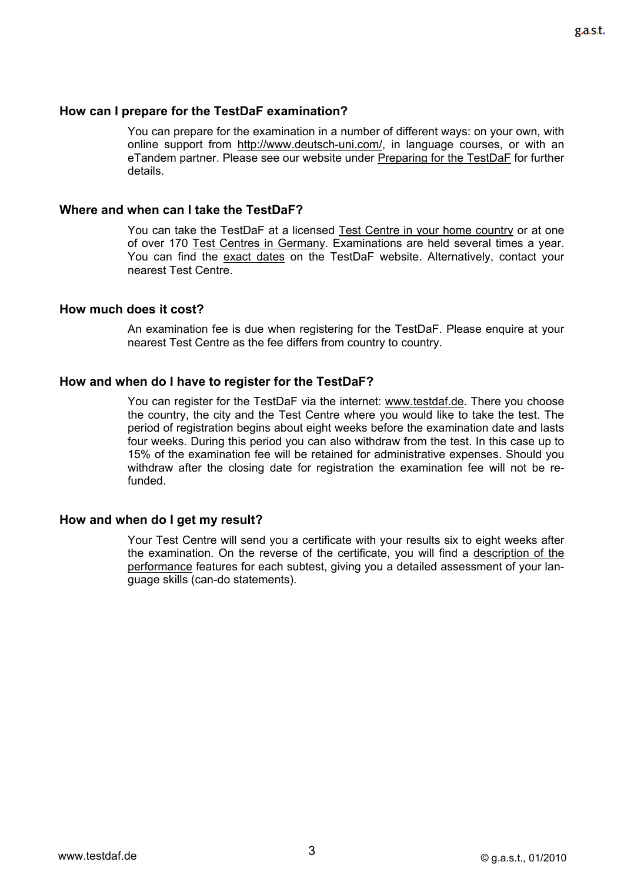#### **How can I prepare for the TestDaF examination?**

You can prepare for the examination in a number of different ways: on your own, with online support from [http://www.deutsch-uni.com/,](http://www.deutsch-uni.com/) in language courses, or with an eTandem partner. Please see our website under [Preparing for the TestDaF](http://www.testdaf.de/teilnehmer/tn-vorbereitung.php) for further details.

#### **Where and when can I take the TestDaF?**

You can take the TestDaF at a licensed [Test Centre in your home country](http://www.testdaf.de/teilnehmer/tn-pruefung_testzentren_welt.php) or at one of over 170 [Test Centres in Germany](http://www.testdaf.de/teilnehmer/tn-pruefung_testzentren_de.php). Examinations are held several times a year. You can find the [exact dates](http://www.testdaf.de/teilnehmer/tn-pruefung_termin.php) on the TestDaF website. Alternatively, contact your nearest Test Centre.

#### **How much does it cost?**

An examination fee is due when registering for the TestDaF. Please enquire at your nearest Test Centre as the fee differs from country to country.

#### **How and when do I have to register for the TestDaF?**

You can register for the TestDaF via the internet: [www.testdaf.de.](http://www.testdaf.de/) There you choose the country, the city and the Test Centre where you would like to take the test. The period of registration begins about eight weeks before the examination date and lasts four weeks. During this period you can also withdraw from the test. In this case up to 15% of the examination fee will be retained for administrative expenses. Should you withdraw after the closing date for registration the examination fee will not be refunded.

#### **How and when do I get my result?**

Your Test Centre will send you a certificate with your results six to eight weeks after the examination. On the reverse of the certificate, you will find a [description of the](http://www.testdaf.de/teilnehmer/tn-info_nivea.php)  [performance](http://www.testdaf.de/teilnehmer/tn-info_nivea.php) features for each subtest, giving you a detailed assessment of your language skills (can-do statements).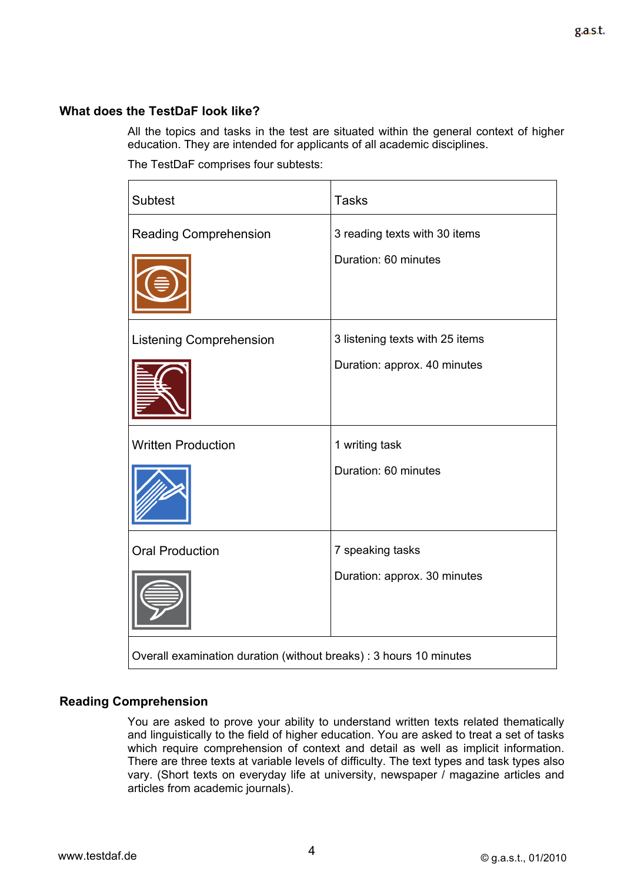# **What does the TestDaF look like?**

All the topics and tasks in the test are situated within the general context of higher education. They are intended for applicants of all academic disciplines.

The TestDaF comprises four subtests:

| <b>Subtest</b>                                                     | <b>Tasks</b>                                                    |
|--------------------------------------------------------------------|-----------------------------------------------------------------|
| <b>Reading Comprehension</b>                                       | 3 reading texts with 30 items<br>Duration: 60 minutes           |
| <b>Listening Comprehension</b>                                     | 3 listening texts with 25 items<br>Duration: approx. 40 minutes |
| <b>Written Production</b>                                          | 1 writing task<br>Duration: 60 minutes                          |
| <b>Oral Production</b>                                             | 7 speaking tasks<br>Duration: approx. 30 minutes                |
| Overall examination duration (without breaks) : 3 hours 10 minutes |                                                                 |

# **Reading Comprehension**

You are asked to prove your ability to understand written texts related thematically and linguistically to the field of higher education. You are asked to treat a set of tasks which require comprehension of context and detail as well as implicit information. There are three texts at variable levels of difficulty. The text types and task types also vary. (Short texts on everyday life at university, newspaper / magazine articles and articles from academic journals).